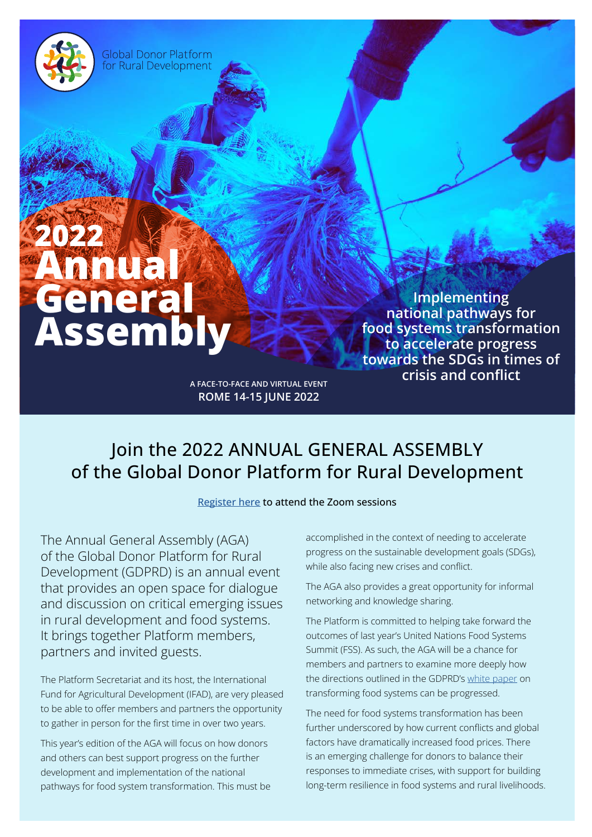**Global Donor Platform** for Rural Development

# **2022 Annual General Assembly**

**Implementing national pathways for food systems transformation to accelerate progress towards the SDGs in times of crisis and conflict**

**A FACE-TO-FACE AND VIRTUAL EVENT ROME 14-15 JUNE 2022**

# Join the 2022 ANNUAL GENERAL ASSEMBLY of the Global Donor Platform for Rural Development

### [Register here](https://ifad.zoom.us/meeting/register/tZclcOispjIrHtENvDUsi_a38Re0vpCbViK0#/registration) to attend the Zoom sessions

The Annual General Assembly (AGA) of the Global Donor Platform for Rural Development (GDPRD) is an annual event that provides an open space for dialogue and discussion on critical emerging issues in rural development and food systems. It brings together Platform members, partners and invited guests.

The Platform Secretariat and its host, the International Fund for Agricultural Development (IFAD), are very pleased to be able to offer members and partners the opportunity to gather in person for the first time in over two years.

This year's edition of the AGA will focus on how donors and others can best support progress on the further development and implementation of the national pathways for food system transformation. This must be accomplished in the context of needing to accelerate progress on the sustainable development goals (SDGs), while also facing new crises and conflict.

The AGA also provides a great opportunity for informal networking and knowledge sharing.

The Platform is committed to helping take forward the outcomes of last year's United Nations Food Systems Summit (FSS). As such, the AGA will be a chance for members and partners to examine more deeply how the directions outlined in the GDPRD's [white paper](https://www.donorplatform.org/publications-about-us-detail/white-paper.html) on transforming food systems can be progressed.

The need for food systems transformation has been further underscored by how current conflicts and global factors have dramatically increased food prices. There is an emerging challenge for donors to balance their responses to immediate crises, with support for building long-term resilience in food systems and rural livelihoods.